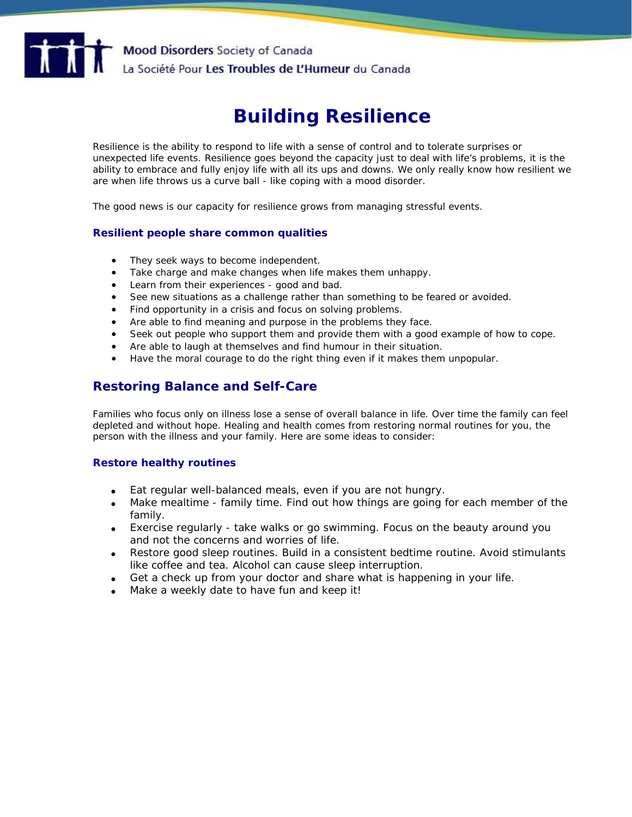

# **Building Resilience**

Resilience is the ability to respond to life with a sense of control and to tolerate surprises or unexpected life events. Resilience goes beyond the capacity just to deal with life's problems, it is the ability to embrace and fully enjoy life with all its ups and downs. We only really know how resilient we are when life throws us a curve ball - like coping with a mood disorder.

The good news is our capacity for resilience grows from managing stressful events.

# **Resilient people share common qualities**

- They seek ways to become independent.
- Take charge and make changes when life makes them unhappy.
- Learn from their experiences good and bad.
- See new situations as a challenge rather than something to be feared or avoided.
- Find opportunity in a crisis and focus on solving problems.
- Are able to find meaning and purpose in the problems they face.
- Seek out people who support them and provide them with a good example of how to cope.
- Are able to laugh at themselves and find humour in their situation.
- Have the moral courage to do the right thing even if it makes them unpopular.

# **Restoring Balance and Self-Care**

Families who focus only on illness lose a sense of overall balance in life. Over time the family can feel depleted and without hope. Healing and health comes from restoring normal routines for you, the person with the illness and your family. Here are some ideas to consider:

#### **Restore healthy routines**

- Eat regular well-balanced meals, even if you are not hungry.
- Make mealtime family time. Find out how things are going for each member of the family.
- Exercise regularly take walks or go swimming. Focus on the beauty around you and not the concerns and worries of life.
- Restore good sleep routines. Build in a consistent bedtime routine. Avoid stimulants like coffee and tea. Alcohol can cause sleep interruption.
- Get a check up from your doctor and share what is happening in your life.
- Make a weekly date to have fun and keep it!